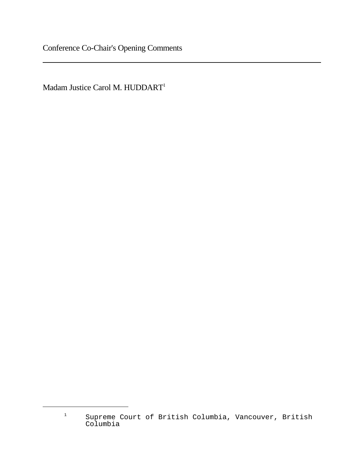Madam Justice Carol M. HUDDART<sup>1</sup>

<sup>1</sup> Supreme Court of British Columbia, Vancouver, British Columbia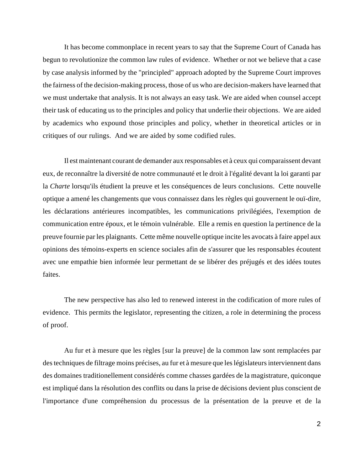It has become commonplace in recent years to say that the Supreme Court of Canada has begun to revolutionize the common law rules of evidence. Whether or not we believe that a case by case analysis informed by the "principled" approach adopted by the Supreme Court improves the fairness of the decision-making process, those of us who are decision-makers have learned that we must undertake that analysis. It is not always an easy task. We are aided when counsel accept their task of educating us to the principles and policy that underlie their objections. We are aided by academics who expound those principles and policy, whether in theoretical articles or in critiques of our rulings. And we are aided by some codified rules.

Il est maintenant courant de demander aux responsables et à ceux qui comparaissent devant eux, de reconnaître la diversité de notre communauté et le droit à l'égalité devant la loi garanti par la *Charte* lorsqu'ils étudient la preuve et les conséquences de leurs conclusions. Cette nouvelle optique a amené les changements que vous connaissez dans les règles qui gouvernent le ouï-dire, les déclarations antérieures incompatibles, les communications privilégiées, l'exemption de communication entre époux, et le témoin vulnérable. Elle a remis en question la pertinence de la preuve fournie par les plaignants. Cette même nouvelle optique incite les avocats à faire appel aux opinions des témoins-experts en science sociales afin de s'assurer que les responsables écoutent avec une empathie bien informée leur permettant de se libérer des préjugés et des idées toutes faites.

The new perspective has also led to renewed interest in the codification of more rules of evidence. This permits the legislator, representing the citizen, a role in determining the process of proof.

Au fur et à mesure que les règles [sur la preuve] de la common law sont remplacées par des techniques de filtrage moins précises, au fur et à mesure que les législateurs interviennent dans des domaines traditionellement considérés comme chasses gardées de la magistrature, quiconque est impliqué dans la résolution des conflits ou dans la prise de décisions devient plus conscient de l'importance d'une compréhension du processus de la présentation de la preuve et de la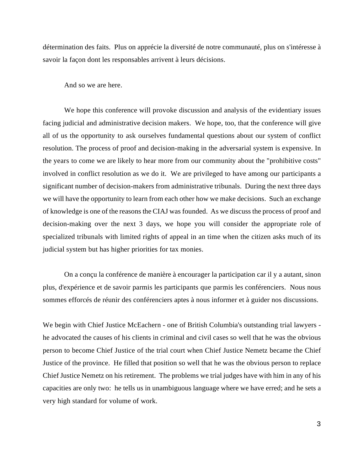détermination des faits. Plus on apprécie la diversité de notre communauté, plus on s'intéresse à savoir la façon dont les responsables arrivent à leurs décisions.

And so we are here.

We hope this conference will provoke discussion and analysis of the evidentiary issues facing judicial and administrative decision makers. We hope, too, that the conference will give all of us the opportunity to ask ourselves fundamental questions about our system of conflict resolution. The process of proof and decision-making in the adversarial system is expensive. In the years to come we are likely to hear more from our community about the "prohibitive costs" involved in conflict resolution as we do it. We are privileged to have among our participants a significant number of decision-makers from administrative tribunals. During the next three days we will have the opportunity to learn from each other how we make decisions. Such an exchange of knowledge is one of the reasons the CIAJ was founded. As we discuss the process of proof and decision-making over the next 3 days, we hope you will consider the appropriate role of specialized tribunals with limited rights of appeal in an time when the citizen asks much of its judicial system but has higher priorities for tax monies.

On a conçu la conférence de manière à encourager la participation car il y a autant, sinon plus, d'expérience et de savoir parmis les participants que parmis les conférenciers. Nous nous sommes efforcés de réunir des conférenciers aptes à nous informer et à guider nos discussions.

We begin with Chief Justice McEachern - one of British Columbia's outstanding trial lawyers he advocated the causes of his clients in criminal and civil cases so well that he was the obvious person to become Chief Justice of the trial court when Chief Justice Nemetz became the Chief Justice of the province. He filled that position so well that he was the obvious person to replace Chief Justice Nemetz on his retirement. The problems we trial judges have with him in any of his capacities are only two: he tells us in unambiguous language where we have erred; and he sets a very high standard for volume of work.